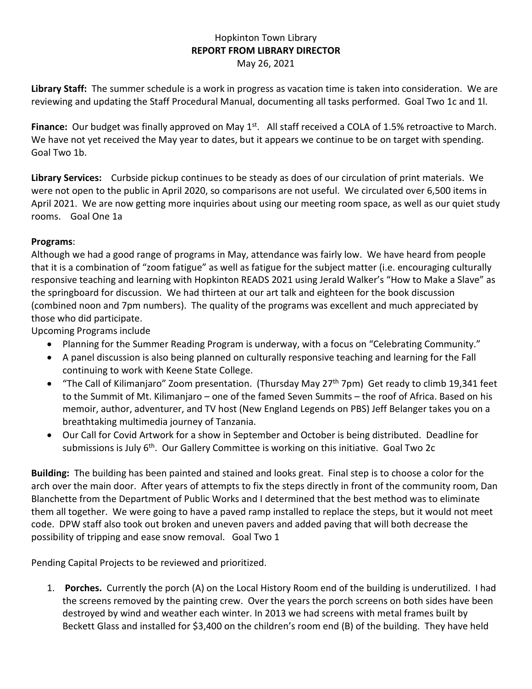## Hopkinton Town Library **REPORT FROM LIBRARY DIRECTOR** May 26, 2021

**Library Staff:** The summer schedule is a work in progress as vacation time is taken into consideration. We are reviewing and updating the Staff Procedural Manual, documenting all tasks performed. Goal Two 1c and 1l.

Finance: Our budget was finally approved on May 1<sup>st</sup>. All staff received a COLA of 1.5% retroactive to March. We have not yet received the May year to dates, but it appears we continue to be on target with spending. Goal Two 1b.

**Library Services:** Curbside pickup continues to be steady as does of our circulation of print materials. We were not open to the public in April 2020, so comparisons are not useful. We circulated over 6,500 items in April 2021. We are now getting more inquiries about using our meeting room space, as well as our quiet study rooms. Goal One 1a

## **Programs**:

Although we had a good range of programs in May, attendance was fairly low. We have heard from people that it is a combination of "zoom fatigue" as well as fatigue for the subject matter (i.e. encouraging culturally responsive teaching and learning with Hopkinton READS 2021 using Jerald Walker's "How to Make a Slave" as the springboard for discussion. We had thirteen at our art talk and eighteen for the book discussion (combined noon and 7pm numbers). The quality of the programs was excellent and much appreciated by those who did participate.

Upcoming Programs include

- Planning for the Summer Reading Program is underway, with a focus on "Celebrating Community."
- A panel discussion is also being planned on culturally responsive teaching and learning for the Fall continuing to work with Keene State College.
- "The Call of Kilimanjaro" Zoom presentation. (Thursday May  $27<sup>th</sup>$  7pm) Get ready to climb 19,341 feet to the Summit of Mt. Kilimanjaro – one of the famed Seven Summits – the roof of Africa. Based on his memoir, author, adventurer, and TV host (New England Legends on PBS) Jeff Belanger takes you on a breathtaking multimedia journey of Tanzania.
- Our Call for Covid Artwork for a show in September and October is being distributed. Deadline for submissions is July 6<sup>th</sup>. Our Gallery Committee is working on this initiative. Goal Two 2c

**Building:** The building has been painted and stained and looks great. Final step is to choose a color for the arch over the main door. After years of attempts to fix the steps directly in front of the community room, Dan Blanchette from the Department of Public Works and I determined that the best method was to eliminate them all together. We were going to have a paved ramp installed to replace the steps, but it would not meet code. DPW staff also took out broken and uneven pavers and added paving that will both decrease the possibility of tripping and ease snow removal. Goal Two 1

Pending Capital Projects to be reviewed and prioritized.

1. **Porches.** Currently the porch (A) on the Local History Room end of the building is underutilized. I had the screens removed by the painting crew. Over the years the porch screens on both sides have been destroyed by wind and weather each winter. In 2013 we had screens with metal frames built by Beckett Glass and installed for \$3,400 on the children's room end (B) of the building. They have held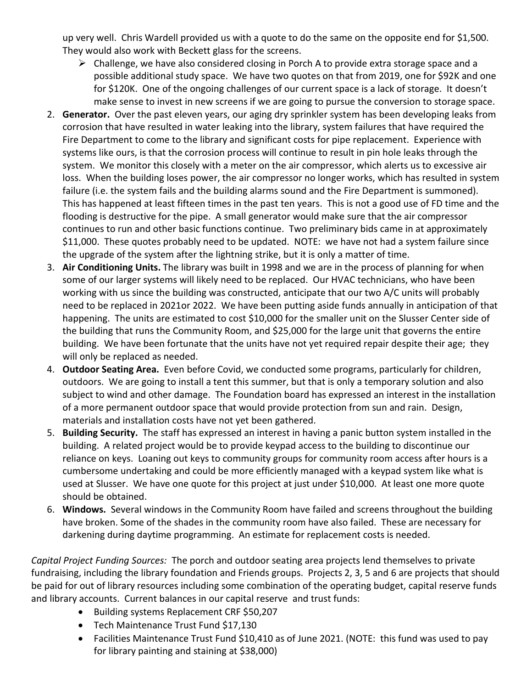up very well. Chris Wardell provided us with a quote to do the same on the opposite end for \$1,500. They would also work with Beckett glass for the screens.

- $\triangleright$  Challenge, we have also considered closing in Porch A to provide extra storage space and a possible additional study space. We have two quotes on that from 2019, one for \$92K and one for \$120K. One of the ongoing challenges of our current space is a lack of storage. It doesn't make sense to invest in new screens if we are going to pursue the conversion to storage space.
- 2. **Generator.** Over the past eleven years, our aging dry sprinkler system has been developing leaks from corrosion that have resulted in water leaking into the library, system failures that have required the Fire Department to come to the library and significant costs for pipe replacement. Experience with systems like ours, is that the corrosion process will continue to result in pin hole leaks through the system. We monitor this closely with a meter on the air compressor, which alerts us to excessive air loss. When the building loses power, the air compressor no longer works, which has resulted in system failure (i.e. the system fails and the building alarms sound and the Fire Department is summoned). This has happened at least fifteen times in the past ten years. This is not a good use of FD time and the flooding is destructive for the pipe. A small generator would make sure that the air compressor continues to run and other basic functions continue. Two preliminary bids came in at approximately \$11,000. These quotes probably need to be updated. NOTE: we have not had a system failure since the upgrade of the system after the lightning strike, but it is only a matter of time.
- 3. **Air Conditioning Units.** The library was built in 1998 and we are in the process of planning for when some of our larger systems will likely need to be replaced. Our HVAC technicians, who have been working with us since the building was constructed, anticipate that our two A/C units will probably need to be replaced in 2021or 2022. We have been putting aside funds annually in anticipation of that happening. The units are estimated to cost \$10,000 for the smaller unit on the Slusser Center side of the building that runs the Community Room, and \$25,000 for the large unit that governs the entire building. We have been fortunate that the units have not yet required repair despite their age; they will only be replaced as needed.
- 4. **Outdoor Seating Area.** Even before Covid, we conducted some programs, particularly for children, outdoors. We are going to install a tent this summer, but that is only a temporary solution and also subject to wind and other damage. The Foundation board has expressed an interest in the installation of a more permanent outdoor space that would provide protection from sun and rain. Design, materials and installation costs have not yet been gathered.
- 5. **Building Security.** The staff has expressed an interest in having a panic button system installed in the building. A related project would be to provide keypad access to the building to discontinue our reliance on keys. Loaning out keys to community groups for community room access after hours is a cumbersome undertaking and could be more efficiently managed with a keypad system like what is used at Slusser. We have one quote for this project at just under \$10,000. At least one more quote should be obtained.
- 6. **Windows.** Several windows in the Community Room have failed and screens throughout the building have broken. Some of the shades in the community room have also failed. These are necessary for darkening during daytime programming. An estimate for replacement costs is needed.

*Capital Project Funding Sources:* The porch and outdoor seating area projects lend themselves to private fundraising, including the library foundation and Friends groups. Projects 2, 3, 5 and 6 are projects that should be paid for out of library resources including some combination of the operating budget, capital reserve funds and library accounts. Current balances in our capital reserve and trust funds:

- Building systems Replacement CRF \$50,207
- Tech Maintenance Trust Fund \$17,130
- Facilities Maintenance Trust Fund \$10,410 as of June 2021. (NOTE: this fund was used to pay for library painting and staining at \$38,000)